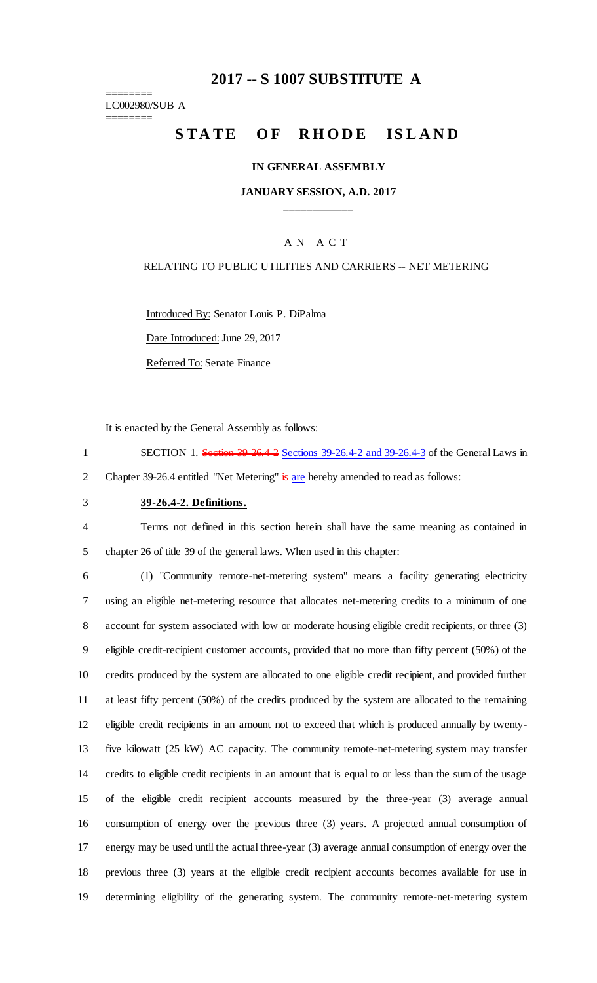# **2017 -- S 1007 SUBSTITUTE A**

======== LC002980/SUB A

========

# STATE OF RHODE ISLAND

#### **IN GENERAL ASSEMBLY**

### **JANUARY SESSION, A.D. 2017 \_\_\_\_\_\_\_\_\_\_\_\_**

## A N A C T

#### RELATING TO PUBLIC UTILITIES AND CARRIERS -- NET METERING

Introduced By: Senator Louis P. DiPalma

Date Introduced: June 29, 2017

Referred To: Senate Finance

It is enacted by the General Assembly as follows:

1 SECTION 1. Section 39-26.4-2 Sections 39-26.4-2 and 39-26.4-3 of the General Laws in 2 Chapter 39-26.4 entitled "Net Metering" is are hereby amended to read as follows:

#### 3 **39-26.4-2. Definitions.**

4 Terms not defined in this section herein shall have the same meaning as contained in 5 chapter 26 of title 39 of the general laws. When used in this chapter:

 (1) "Community remote-net-metering system" means a facility generating electricity using an eligible net-metering resource that allocates net-metering credits to a minimum of one account for system associated with low or moderate housing eligible credit recipients, or three (3) eligible credit-recipient customer accounts, provided that no more than fifty percent (50%) of the credits produced by the system are allocated to one eligible credit recipient, and provided further at least fifty percent (50%) of the credits produced by the system are allocated to the remaining eligible credit recipients in an amount not to exceed that which is produced annually by twenty- five kilowatt (25 kW) AC capacity. The community remote-net-metering system may transfer credits to eligible credit recipients in an amount that is equal to or less than the sum of the usage of the eligible credit recipient accounts measured by the three-year (3) average annual consumption of energy over the previous three (3) years. A projected annual consumption of energy may be used until the actual three-year (3) average annual consumption of energy over the previous three (3) years at the eligible credit recipient accounts becomes available for use in determining eligibility of the generating system. The community remote-net-metering system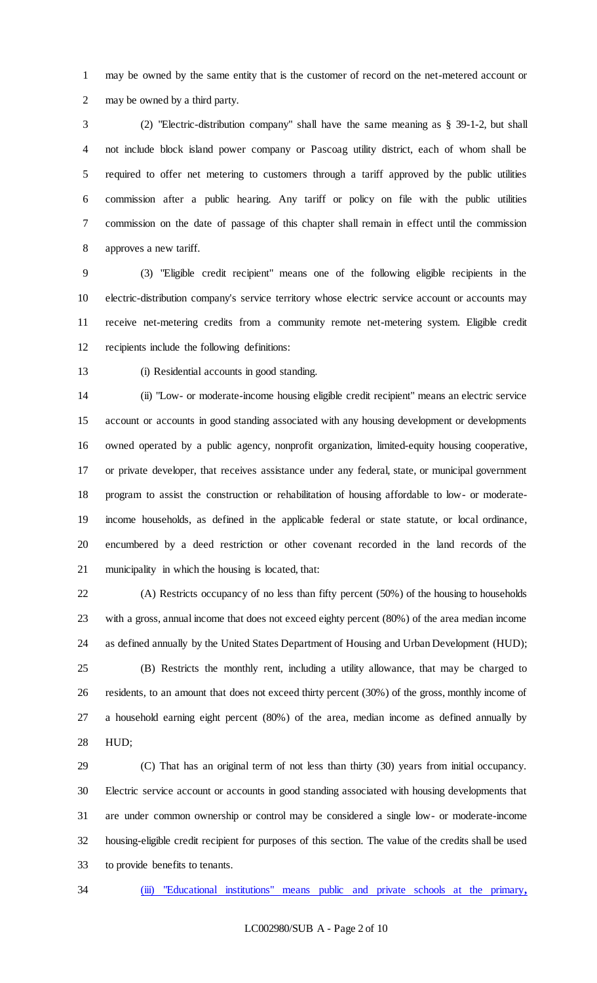may be owned by the same entity that is the customer of record on the net-metered account or may be owned by a third party.

 (2) "Electric-distribution company" shall have the same meaning as § 39-1-2, but shall not include block island power company or Pascoag utility district, each of whom shall be required to offer net metering to customers through a tariff approved by the public utilities commission after a public hearing. Any tariff or policy on file with the public utilities commission on the date of passage of this chapter shall remain in effect until the commission approves a new tariff.

 (3) "Eligible credit recipient" means one of the following eligible recipients in the electric-distribution company's service territory whose electric service account or accounts may receive net-metering credits from a community remote net-metering system. Eligible credit recipients include the following definitions:

(i) Residential accounts in good standing.

 (ii) "Low- or moderate-income housing eligible credit recipient" means an electric service account or accounts in good standing associated with any housing development or developments owned operated by a public agency, nonprofit organization, limited-equity housing cooperative, or private developer, that receives assistance under any federal, state, or municipal government program to assist the construction or rehabilitation of housing affordable to low- or moderate- income households, as defined in the applicable federal or state statute, or local ordinance, encumbered by a deed restriction or other covenant recorded in the land records of the municipality in which the housing is located, that:

 (A) Restricts occupancy of no less than fifty percent (50%) of the housing to households with a gross, annual income that does not exceed eighty percent (80%) of the area median income as defined annually by the United States Department of Housing and Urban Development (HUD);

 (B) Restricts the monthly rent, including a utility allowance, that may be charged to residents, to an amount that does not exceed thirty percent (30%) of the gross, monthly income of a household earning eight percent (80%) of the area, median income as defined annually by HUD;

 (C) That has an original term of not less than thirty (30) years from initial occupancy. Electric service account or accounts in good standing associated with housing developments that are under common ownership or control may be considered a single low- or moderate-income housing-eligible credit recipient for purposes of this section. The value of the credits shall be used to provide benefits to tenants.

(iii) "Educational institutions" means public and private schools at the primary**,**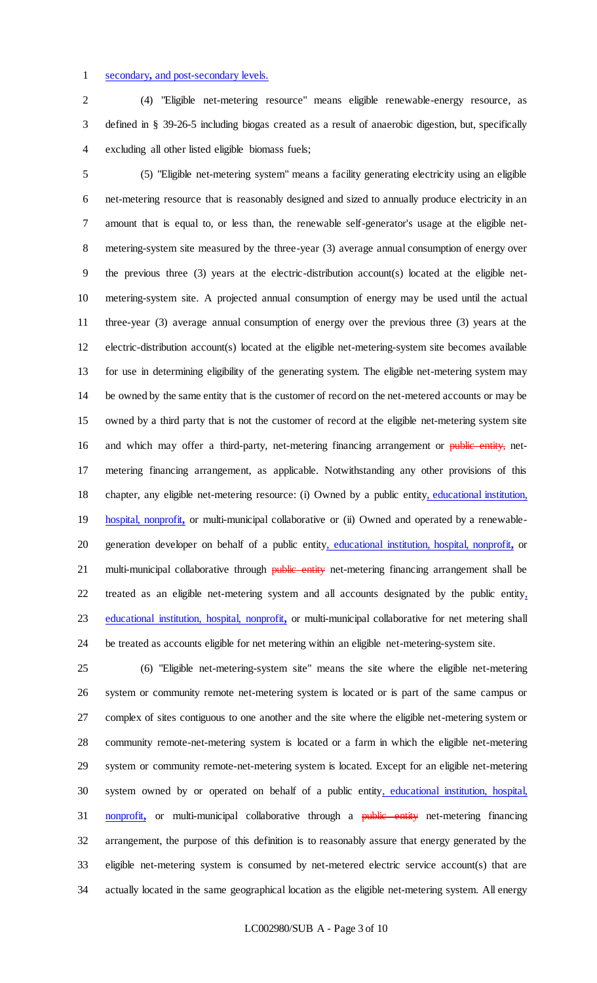#### secondary**,** and post-secondary levels.

 (4) "Eligible net-metering resource" means eligible renewable-energy resource, as defined in § 39-26-5 including biogas created as a result of anaerobic digestion, but, specifically excluding all other listed eligible biomass fuels;

 (5) "Eligible net-metering system" means a facility generating electricity using an eligible net-metering resource that is reasonably designed and sized to annually produce electricity in an amount that is equal to, or less than, the renewable self-generator's usage at the eligible net- metering-system site measured by the three-year (3) average annual consumption of energy over the previous three (3) years at the electric-distribution account(s) located at the eligible net- metering-system site. A projected annual consumption of energy may be used until the actual three-year (3) average annual consumption of energy over the previous three (3) years at the electric-distribution account(s) located at the eligible net-metering-system site becomes available for use in determining eligibility of the generating system. The eligible net-metering system may be owned by the same entity that is the customer of record on the net-metered accounts or may be owned by a third party that is not the customer of record at the eligible net-metering system site 16 and which may offer a third-party, net-metering financing arrangement or public entity, net- metering financing arrangement, as applicable. Notwithstanding any other provisions of this 18 chapter, any eligible net-metering resource: (i) Owned by a public entity, educational institution, hospital, nonprofit**,** or multi-municipal collaborative or (ii) Owned and operated by a renewable- generation developer on behalf of a public entity, educational institution, hospital, nonprofit**,** or 21 multi-municipal collaborative through **public entity** net-metering financing arrangement shall be treated as an eligible net-metering system and all accounts designated by the public entity, educational institution, hospital, nonprofit**,** or multi-municipal collaborative for net metering shall be treated as accounts eligible for net metering within an eligible net-metering-system site.

 (6) "Eligible net-metering-system site" means the site where the eligible net-metering system or community remote net-metering system is located or is part of the same campus or complex of sites contiguous to one another and the site where the eligible net-metering system or community remote-net-metering system is located or a farm in which the eligible net-metering system or community remote-net-metering system is located. Except for an eligible net-metering system owned by or operated on behalf of a public entity, educational institution, hospital, 31 nonprofit, or multi-municipal collaborative through a public entity net-metering financing arrangement, the purpose of this definition is to reasonably assure that energy generated by the eligible net-metering system is consumed by net-metered electric service account(s) that are actually located in the same geographical location as the eligible net-metering system. All energy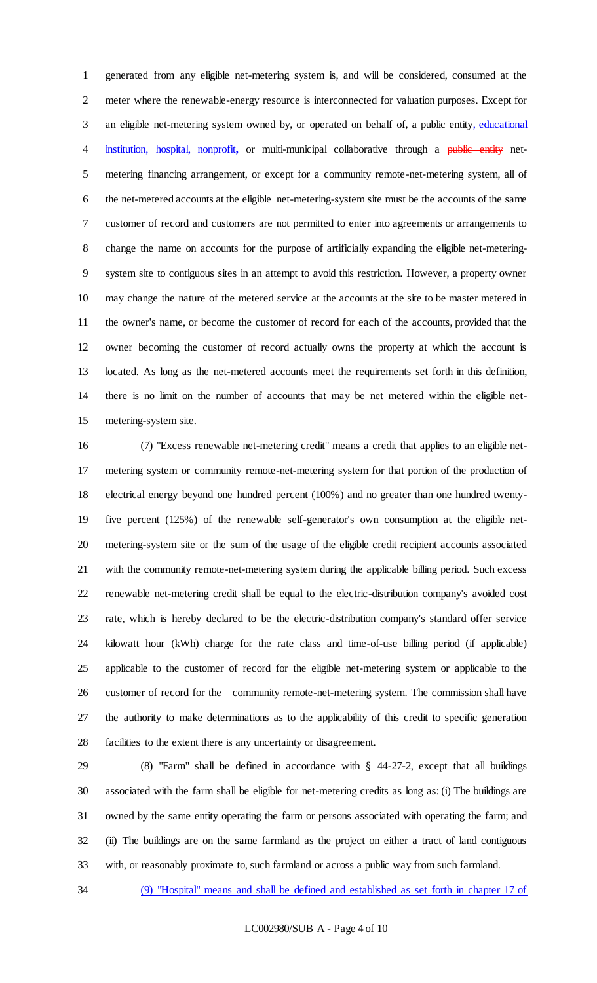generated from any eligible net-metering system is, and will be considered, consumed at the meter where the renewable-energy resource is interconnected for valuation purposes. Except for 3 an eligible net-metering system owned by, or operated on behalf of, a public entity, educational 4 institution, hospital, nonprofit, or multi-municipal collaborative through a public entity net- metering financing arrangement, or except for a community remote-net-metering system, all of the net-metered accounts at the eligible net-metering-system site must be the accounts of the same customer of record and customers are not permitted to enter into agreements or arrangements to change the name on accounts for the purpose of artificially expanding the eligible net-metering- system site to contiguous sites in an attempt to avoid this restriction. However, a property owner may change the nature of the metered service at the accounts at the site to be master metered in the owner's name, or become the customer of record for each of the accounts, provided that the owner becoming the customer of record actually owns the property at which the account is located. As long as the net-metered accounts meet the requirements set forth in this definition, there is no limit on the number of accounts that may be net metered within the eligible net-metering-system site.

 (7) "Excess renewable net-metering credit" means a credit that applies to an eligible net- metering system or community remote-net-metering system for that portion of the production of electrical energy beyond one hundred percent (100%) and no greater than one hundred twenty- five percent (125%) of the renewable self-generator's own consumption at the eligible net- metering-system site or the sum of the usage of the eligible credit recipient accounts associated with the community remote-net-metering system during the applicable billing period. Such excess renewable net-metering credit shall be equal to the electric-distribution company's avoided cost rate, which is hereby declared to be the electric-distribution company's standard offer service kilowatt hour (kWh) charge for the rate class and time-of-use billing period (if applicable) applicable to the customer of record for the eligible net-metering system or applicable to the customer of record for the community remote-net-metering system. The commission shall have the authority to make determinations as to the applicability of this credit to specific generation facilities to the extent there is any uncertainty or disagreement.

 (8) "Farm" shall be defined in accordance with § 44-27-2, except that all buildings associated with the farm shall be eligible for net-metering credits as long as: (i) The buildings are owned by the same entity operating the farm or persons associated with operating the farm; and (ii) The buildings are on the same farmland as the project on either a tract of land contiguous with, or reasonably proximate to, such farmland or across a public way from such farmland.

(9) "Hospital" means and shall be defined and established as set forth in chapter 17 of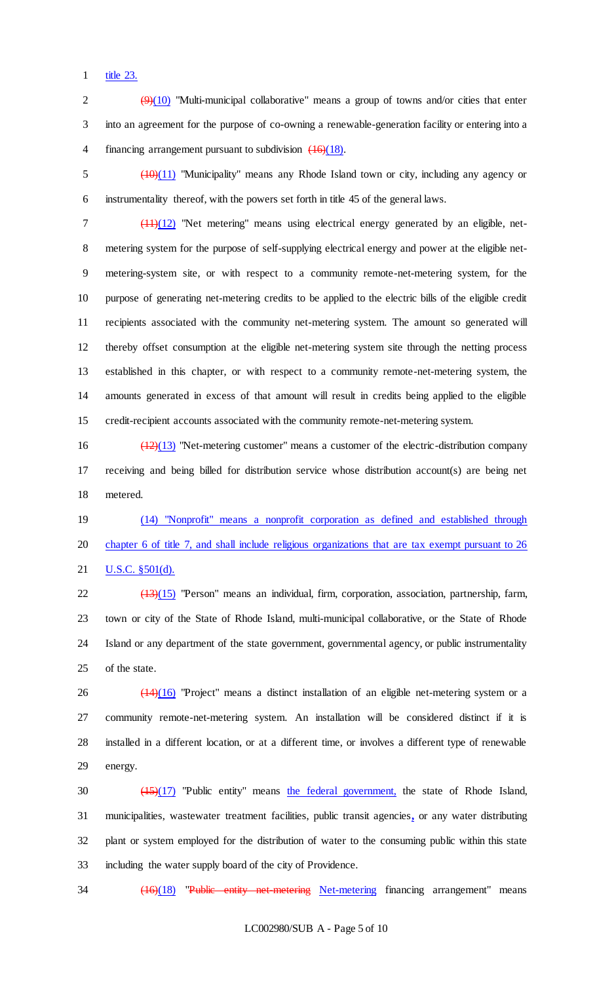title 23.

2  $\left(\frac{9}{10}\right)$  "Multi-municipal collaborative" means a group of towns and/or cities that enter into an agreement for the purpose of co-owning a renewable-generation facility or entering into a 4 financing arrangement pursuant to subdivision  $\left(\frac{16}{18}\right)$ .

 (10)(11) "Municipality" means any Rhode Island town or city, including any agency or instrumentality thereof, with the powers set forth in title 45 of the general laws.

 (11)(12) "Net metering" means using electrical energy generated by an eligible, net- metering system for the purpose of self-supplying electrical energy and power at the eligible net- metering-system site, or with respect to a community remote-net-metering system, for the purpose of generating net-metering credits to be applied to the electric bills of the eligible credit recipients associated with the community net-metering system. The amount so generated will thereby offset consumption at the eligible net-metering system site through the netting process established in this chapter, or with respect to a community remote-net-metering system, the amounts generated in excess of that amount will result in credits being applied to the eligible credit-recipient accounts associated with the community remote-net-metering system.

16  $\left(\frac{12}{13}\right)$  "Net-metering customer" means a customer of the electric-distribution company receiving and being billed for distribution service whose distribution account(s) are being net metered.

 (14) "Nonprofit" means a nonprofit corporation as defined and established through chapter 6 of title 7, and shall include religious organizations that are tax exempt pursuant to 26 **U.S.C.** §501(d).

22 (13)(15) "Person" means an individual, firm, corporation, association, partnership, farm, town or city of the State of Rhode Island, multi-municipal collaborative, or the State of Rhode Island or any department of the state government, governmental agency, or public instrumentality of the state.

 $26 \left( \frac{(14)(16)}{20} \right)$  "Project" means a distinct installation of an eligible net-metering system or a community remote-net-metering system. An installation will be considered distinct if it is installed in a different location, or at a different time, or involves a different type of renewable energy.

30 (15)(17) "Public entity" means the federal government, the state of Rhode Island, municipalities, wastewater treatment facilities, public transit agencies**,** or any water distributing plant or system employed for the distribution of water to the consuming public within this state including the water supply board of the city of Providence.

34 (16)(18) "Public entity net-metering Net-metering financing arrangement" means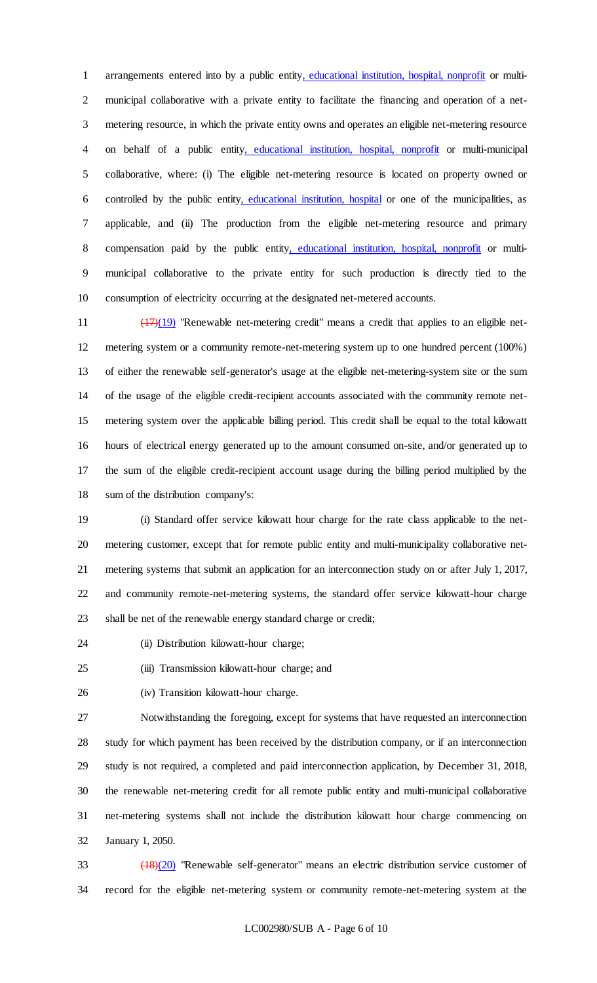arrangements entered into by a public entity, educational institution, hospital, nonprofit or multi- municipal collaborative with a private entity to facilitate the financing and operation of a net- metering resource, in which the private entity owns and operates an eligible net-metering resource on behalf of a public entity, educational institution, hospital, nonprofit or multi-municipal collaborative, where: (i) The eligible net-metering resource is located on property owned or controlled by the public entity, educational institution, hospital or one of the municipalities, as applicable, and (ii) The production from the eligible net-metering resource and primary compensation paid by the public entity, educational institution, hospital, nonprofit or multi- municipal collaborative to the private entity for such production is directly tied to the consumption of electricity occurring at the designated net-metered accounts.

 $\left(\frac{17}{19}\right)$  "Renewable net-metering credit" means a credit that applies to an eligible net- metering system or a community remote-net-metering system up to one hundred percent (100%) of either the renewable self-generator's usage at the eligible net-metering-system site or the sum of the usage of the eligible credit-recipient accounts associated with the community remote net- metering system over the applicable billing period. This credit shall be equal to the total kilowatt hours of electrical energy generated up to the amount consumed on-site, and/or generated up to the sum of the eligible credit-recipient account usage during the billing period multiplied by the sum of the distribution company's:

 (i) Standard offer service kilowatt hour charge for the rate class applicable to the net- metering customer, except that for remote public entity and multi-municipality collaborative net- metering systems that submit an application for an interconnection study on or after July 1, 2017, and community remote-net-metering systems, the standard offer service kilowatt-hour charge shall be net of the renewable energy standard charge or credit;

- (ii) Distribution kilowatt-hour charge;
- (iii) Transmission kilowatt-hour charge; and
- 

(iv) Transition kilowatt-hour charge.

 Notwithstanding the foregoing, except for systems that have requested an interconnection study for which payment has been received by the distribution company, or if an interconnection study is not required, a completed and paid interconnection application, by December 31, 2018, the renewable net-metering credit for all remote public entity and multi-municipal collaborative net-metering systems shall not include the distribution kilowatt hour charge commencing on January 1, 2050.

 (18)(20) "Renewable self-generator" means an electric distribution service customer of record for the eligible net-metering system or community remote-net-metering system at the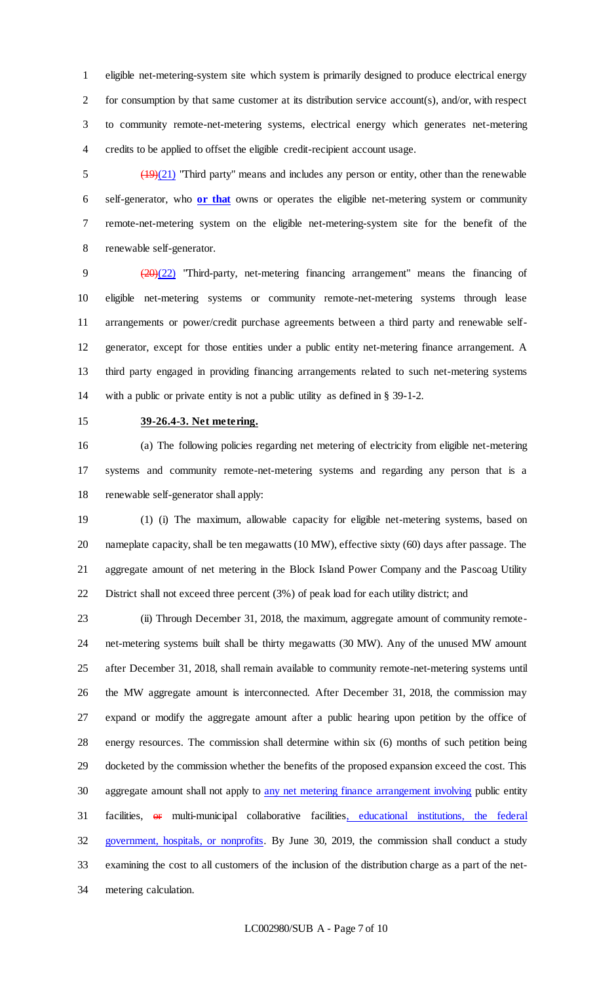eligible net-metering-system site which system is primarily designed to produce electrical energy for consumption by that same customer at its distribution service account(s), and/or, with respect to community remote-net-metering systems, electrical energy which generates net-metering credits to be applied to offset the eligible credit-recipient account usage.

 $\frac{(19)(21)}{20}$  "Third party" means and includes any person or entity, other than the renewable self-generator, who **or that** owns or operates the eligible net-metering system or community remote-net-metering system on the eligible net-metering-system site for the benefit of the renewable self-generator.

 (20)(22) "Third-party, net-metering financing arrangement" means the financing of eligible net-metering systems or community remote-net-metering systems through lease arrangements or power/credit purchase agreements between a third party and renewable self- generator, except for those entities under a public entity net-metering finance arrangement. A third party engaged in providing financing arrangements related to such net-metering systems with a public or private entity is not a public utility as defined in § 39-1-2.

## **39-26.4-3. Net metering.**

 (a) The following policies regarding net metering of electricity from eligible net-metering systems and community remote-net-metering systems and regarding any person that is a renewable self-generator shall apply:

 (1) (i) The maximum, allowable capacity for eligible net-metering systems, based on nameplate capacity, shall be ten megawatts (10 MW), effective sixty (60) days after passage. The aggregate amount of net metering in the Block Island Power Company and the Pascoag Utility District shall not exceed three percent (3%) of peak load for each utility district; and

 (ii) Through December 31, 2018, the maximum, aggregate amount of community remote- net-metering systems built shall be thirty megawatts (30 MW). Any of the unused MW amount after December 31, 2018, shall remain available to community remote-net-metering systems until the MW aggregate amount is interconnected. After December 31, 2018, the commission may expand or modify the aggregate amount after a public hearing upon petition by the office of energy resources. The commission shall determine within six (6) months of such petition being docketed by the commission whether the benefits of the proposed expansion exceed the cost. This 30 aggregate amount shall not apply to any net metering finance arrangement involving public entity 31 facilities, or multi-municipal collaborative facilities, educational institutions, the federal 32 government, hospitals, or nonprofits. By June 30, 2019, the commission shall conduct a study examining the cost to all customers of the inclusion of the distribution charge as a part of the net-metering calculation.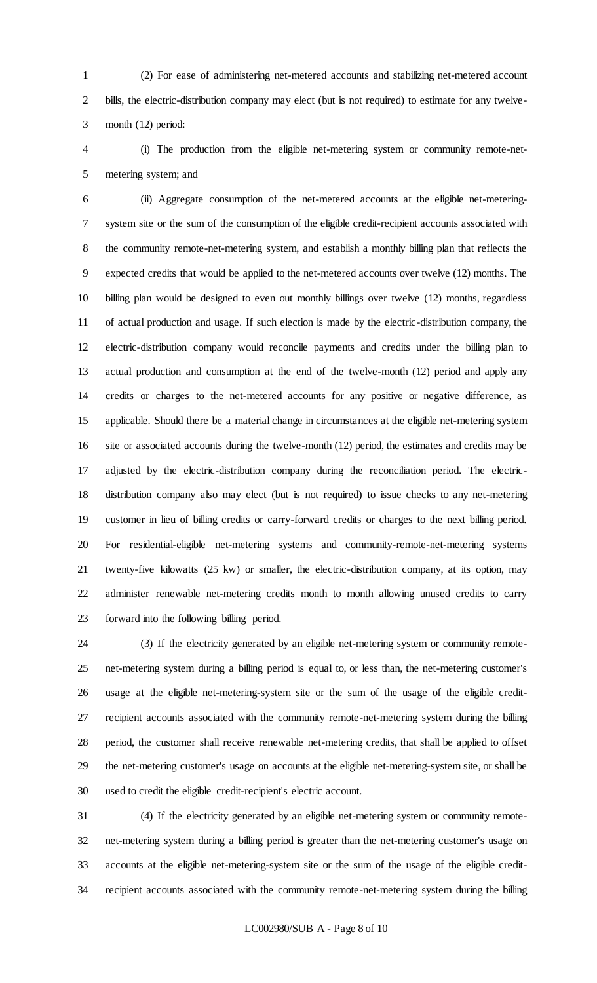(2) For ease of administering net-metered accounts and stabilizing net-metered account bills, the electric-distribution company may elect (but is not required) to estimate for any twelve-month (12) period:

 (i) The production from the eligible net-metering system or community remote-net-metering system; and

 (ii) Aggregate consumption of the net-metered accounts at the eligible net-metering- system site or the sum of the consumption of the eligible credit-recipient accounts associated with the community remote-net-metering system, and establish a monthly billing plan that reflects the expected credits that would be applied to the net-metered accounts over twelve (12) months. The billing plan would be designed to even out monthly billings over twelve (12) months, regardless of actual production and usage. If such election is made by the electric-distribution company, the electric-distribution company would reconcile payments and credits under the billing plan to actual production and consumption at the end of the twelve-month (12) period and apply any credits or charges to the net-metered accounts for any positive or negative difference, as applicable. Should there be a material change in circumstances at the eligible net-metering system site or associated accounts during the twelve-month (12) period, the estimates and credits may be adjusted by the electric-distribution company during the reconciliation period. The electric- distribution company also may elect (but is not required) to issue checks to any net-metering customer in lieu of billing credits or carry-forward credits or charges to the next billing period. For residential-eligible net-metering systems and community-remote-net-metering systems twenty-five kilowatts (25 kw) or smaller, the electric-distribution company, at its option, may administer renewable net-metering credits month to month allowing unused credits to carry forward into the following billing period.

 (3) If the electricity generated by an eligible net-metering system or community remote- net-metering system during a billing period is equal to, or less than, the net-metering customer's usage at the eligible net-metering-system site or the sum of the usage of the eligible credit- recipient accounts associated with the community remote-net-metering system during the billing period, the customer shall receive renewable net-metering credits, that shall be applied to offset the net-metering customer's usage on accounts at the eligible net-metering-system site, or shall be used to credit the eligible credit-recipient's electric account.

 (4) If the electricity generated by an eligible net-metering system or community remote- net-metering system during a billing period is greater than the net-metering customer's usage on accounts at the eligible net-metering-system site or the sum of the usage of the eligible credit-recipient accounts associated with the community remote-net-metering system during the billing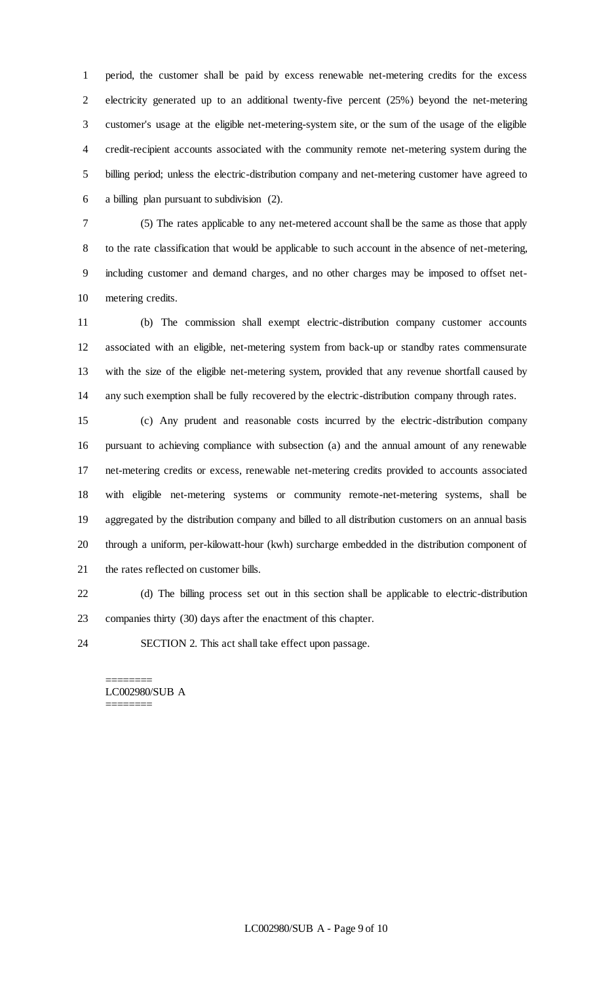period, the customer shall be paid by excess renewable net-metering credits for the excess electricity generated up to an additional twenty-five percent (25%) beyond the net-metering customer's usage at the eligible net-metering-system site, or the sum of the usage of the eligible credit-recipient accounts associated with the community remote net-metering system during the billing period; unless the electric-distribution company and net-metering customer have agreed to a billing plan pursuant to subdivision (2).

 (5) The rates applicable to any net-metered account shall be the same as those that apply to the rate classification that would be applicable to such account in the absence of net-metering, including customer and demand charges, and no other charges may be imposed to offset net-metering credits.

 (b) The commission shall exempt electric-distribution company customer accounts associated with an eligible, net-metering system from back-up or standby rates commensurate with the size of the eligible net-metering system, provided that any revenue shortfall caused by any such exemption shall be fully recovered by the electric-distribution company through rates.

 (c) Any prudent and reasonable costs incurred by the electric-distribution company pursuant to achieving compliance with subsection (a) and the annual amount of any renewable net-metering credits or excess, renewable net-metering credits provided to accounts associated with eligible net-metering systems or community remote-net-metering systems, shall be aggregated by the distribution company and billed to all distribution customers on an annual basis through a uniform, per-kilowatt-hour (kwh) surcharge embedded in the distribution component of the rates reflected on customer bills.

 (d) The billing process set out in this section shall be applicable to electric-distribution companies thirty (30) days after the enactment of this chapter.

SECTION 2. This act shall take effect upon passage.

======== LC002980/SUB A ========